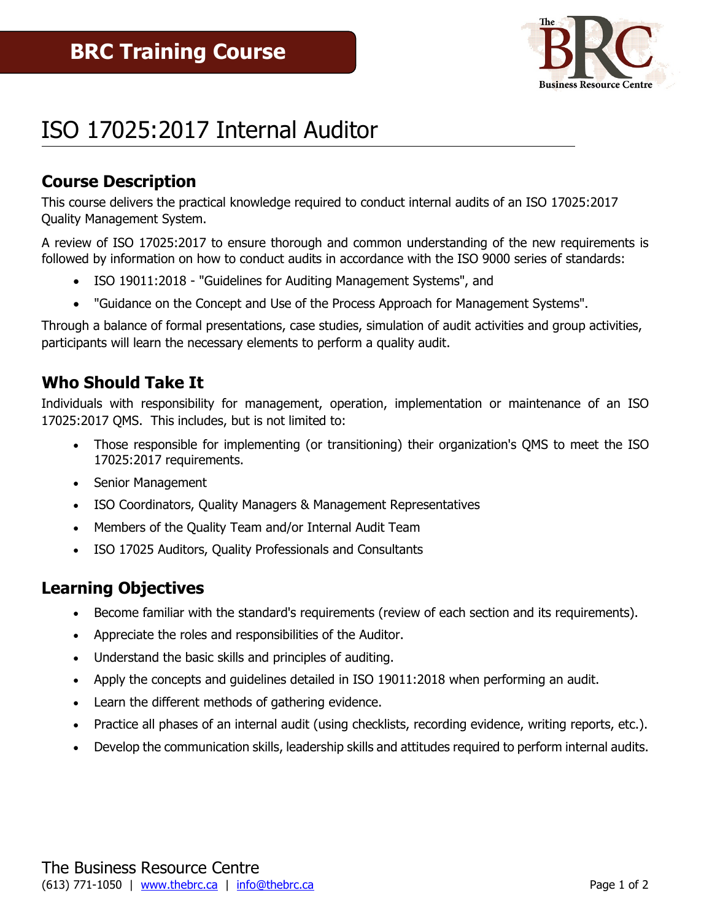

# ISO 17025:2017 Internal Auditor

# **Course Description**

This course delivers the practical knowledge required to conduct internal audits of an ISO 17025:2017 Quality Management System.

A review of ISO 17025:2017 to ensure thorough and common understanding of the new requirements is followed by information on how to conduct audits in accordance with the ISO 9000 series of standards:

- ISO 19011:2018 "Guidelines for Auditing Management Systems", and
- "Guidance on the Concept and Use of the Process Approach for Management Systems".

Through a balance of formal presentations, case studies, simulation of audit activities and group activities, participants will learn the necessary elements to perform a quality audit.

# **Who Should Take It**

Individuals with responsibility for management, operation, implementation or maintenance of an ISO 17025:2017 QMS. This includes, but is not limited to:

- Those responsible for implementing (or transitioning) their organization's QMS to meet the ISO 17025:2017 requirements.
- Senior Management
- ISO Coordinators, Quality Managers & Management Representatives
- Members of the Quality Team and/or Internal Audit Team
- ISO 17025 Auditors, Quality Professionals and Consultants

### **Learning Objectives**

- Become familiar with the standard's requirements (review of each section and its requirements).
- Appreciate the roles and responsibilities of the Auditor.
- Understand the basic skills and principles of auditing.
- Apply the concepts and guidelines detailed in ISO 19011:2018 when performing an audit.
- Learn the different methods of gathering evidence.
- Practice all phases of an internal audit (using checklists, recording evidence, writing reports, etc.).
- Develop the communication skills, leadership skills and attitudes required to perform internal audits.